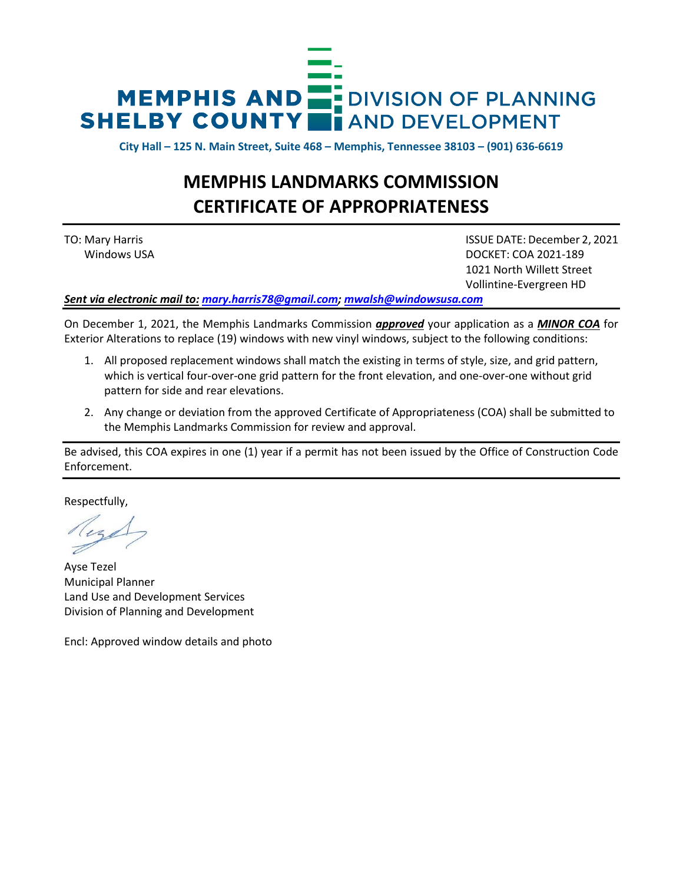

**City Hall – 125 N. Main Street, Suite 468 – Memphis, Tennessee 38103 – (901) 636-6619**

# **MEMPHIS LANDMARKS COMMISSION CERTIFICATE OF APPROPRIATENESS**

TO: Mary Harris ISSUE DATE: December 2, 2021 Windows USA DOCKET: COA 2021-189 1021 North Willett Street Vollintine-Evergreen HD

*Sent via electronic mail to: [mary.harris78@gmail.com;](mailto:mary.harris78@gmail.com) [mwalsh@windowsusa.com](mailto:mwalsh@windowsusa.com)*

On December 1, 2021, the Memphis Landmarks Commission *approved* your application as a *MINOR COA* for Exterior Alterations to replace (19) windows with new vinyl windows, subject to the following conditions:

- 1. All proposed replacement windows shall match the existing in terms of style, size, and grid pattern, which is vertical four-over-one grid pattern for the front elevation, and one-over-one without grid pattern for side and rear elevations.
- 2. Any change or deviation from the approved Certificate of Appropriateness (COA) shall be submitted to the Memphis Landmarks Commission for review and approval.

Be advised, this COA expires in one (1) year if a permit has not been issued by the Office of Construction Code Enforcement.

Respectfully,

Ayse Tezel Municipal Planner Land Use and Development Services Division of Planning and Development

Encl: Approved window details and photo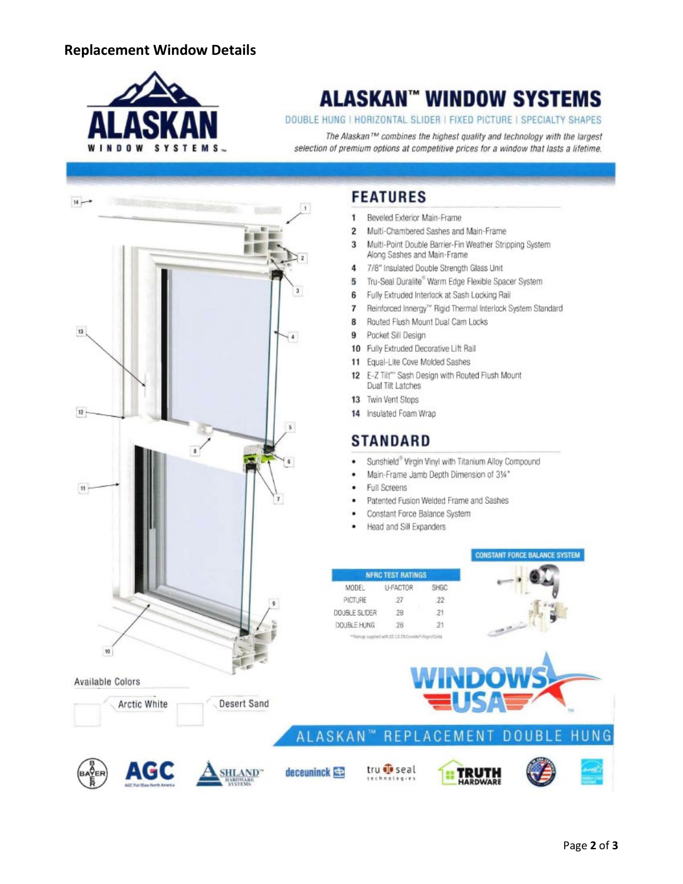### **Replacement Window Details**



# **ALASKAN™ WINDOW SYSTEMS**

#### DOUBLE HUNG I HORIZONTAL SLIDER I FIXED PICTURE I SPECIALTY SHAPES

The Alaskan™ combines the highest quality and technology with the largest selection of premium options at competitive prices for a window that lasts a lifetime.



AGC

**SHL AND** 

## **FEATURES**

- Beveled Exterior Main-Frame 1
- Multi-Chambered Sashes and Main-Frame  $\overline{2}$
- $\overline{3}$ Multi-Point Double Barrier-Fin Weather Stripping System Along Sashes and Main-Frame
- $\overline{4}$ 7/8" Insulated Double Strength Glass Unit
- Tru-Seal Duralite" Warm Edge Flexible Spacer System 5
- Fully Extruded Interlock at Sash Locking Rail 6
- Reinforced Innergy<sup>16</sup> Rigid Thermal Interlock System Standard  $\overline{7}$
- 8 Routed Flush Mount Dual Cam Locks
- Pocket Sill Design 9
- 10 Fully Extruded Decorative Lift Rail
- 11 Equal-Lite Cove Molded Sashes
- 12 E-Z Tilt" Sash Design with Routed Flush Mount Dual Tilt Latches
- 13 Twin Vent Stops
- 14 Insulated Foam Wrap

## **STANDARD**

- Sunshield® Virgin Vinyl with Titanium Alloy Compound
- Main-Frame Jamb Depth Dimension of 314"
- **Full Screens**
- Patented Fusion Welded Frame and Sashes
- $\bullet$ Constant Force Balance System
- Head and Sill Expanders